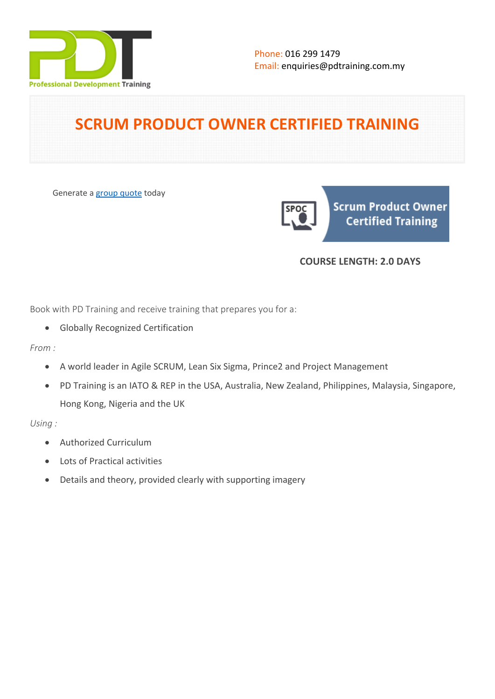

# **SCRUM PRODUCT OWNER CERTIFIED TRAINING**

Generate a [group quote](https://pdtraining.com.my/inhouse-training-quote?cse=SCRUMSPOC) today

**Scrum Product Owner Certified Training** 

# **COURSE LENGTH: 2.0 DAYS**

Book with PD Training and receive training that prepares you for a:

- Globally Recognized Certification
- *From :*
	- A world leader in Agile SCRUM, Lean Six Sigma, Prince2 and Project Management
	- PD Training is an IATO & REP in the USA, Australia, New Zealand, Philippines, Malaysia, Singapore, Hong Kong, Nigeria and the UK

*Using :*

- Authorized Curriculum
- Lots of Practical activities
- Details and theory, provided clearly with supporting imagery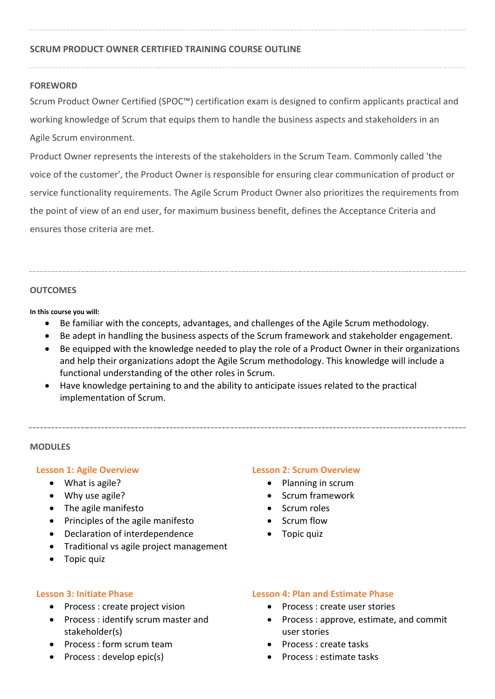# **SCRUM PRODUCT OWNER CERTIFIED TRAINING COURSE OUTLINE**

# **FOREWORD**

Scrum Product Owner Certified (SPOC™) certification exam is designed to confirm applicants practical and working knowledge of Scrum that equips them to handle the business aspects and stakeholders in an Agile Scrum environment.

Product Owner represents the interests of the stakeholders in the Scrum Team. Commonly called 'the voice of the customer', the Product Owner is responsible for ensuring clear communication of product or service functionality requirements. The Agile Scrum Product Owner also prioritizes the requirements from the point of view of an end user, for maximum business benefit, defines the Acceptance Criteria and ensures those criteria are met.

#### **OUTCOMES**

**In this course you will:**

- Be familiar with the concepts, advantages, and challenges of the Agile Scrum methodology.
- Be adept in handling the business aspects of the Scrum framework and stakeholder engagement.
- Be equipped with the knowledge needed to play the role of a Product Owner in their organizations and help their organizations adopt the Agile Scrum methodology. This knowledge will include a functional understanding of the other roles in Scrum.
- Have knowledge pertaining to and the ability to anticipate issues related to the practical implementation of Scrum.

#### **MODULES**

# **Lesson 1: Agile Overview**

- What is agile?
- Why use agile?
- The agile manifesto
- Principles of the agile manifesto
- Declaration of interdependence
- Traditional vs agile project management
- Topic quiz

#### **Lesson 2: Scrum Overview**

- Planning in scrum
- Scrum framework
- Scrum roles
- Scrum flow
- Topic quiz

#### **Lesson 3: Initiate Phase**

- Process : create project vision
- Process : identify scrum master and stakeholder(s)
- Process : form scrum team
- Process : develop epic(s)

# **Lesson 4: Plan and Estimate Phase**

- Process : create user stories
- Process: approve, estimate, and commit user stories
- Process : create tasks
- Process : estimate tasks